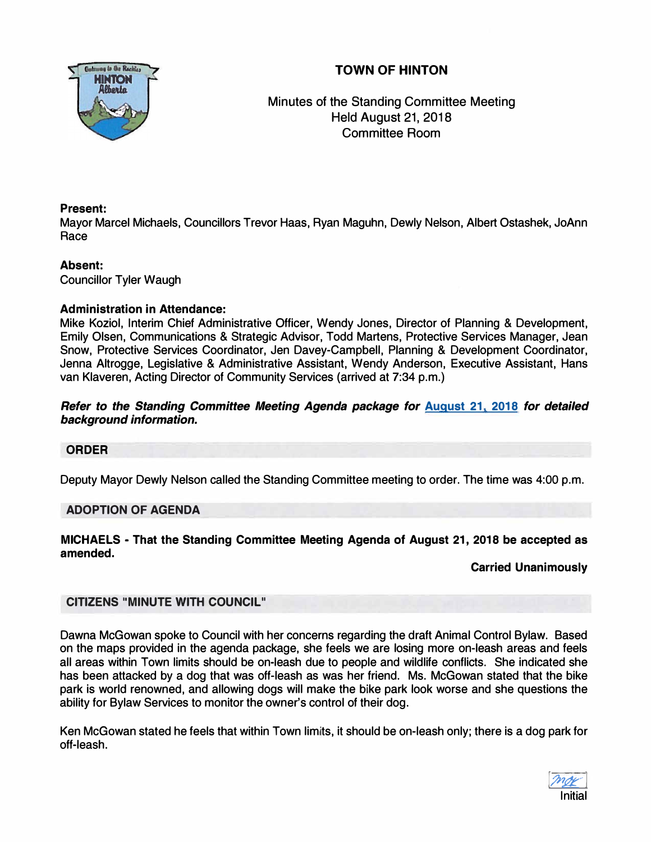# **TOWN OF HINTON**



Minutes of the Standing Committee Meeting Held August 21, 2018 Committee Room

# **Present:**

Mayor Marcel Michaels, Councillors Trevor Haas, Ryan Maguhn, Dewly Nelson, Albert Ostashek, JoAnn Race

# **Absent:**

Councillor Tyler Waugh

# **Administration in Attendance:**

Mike Koziol, Interim Chief Administrative Officer, Wendy Jones, Director of Planning **&** Development, Emily Olsen, Communications **&** Strategic Advisor, Todd Martens, Protective Services Manager, Jean Snow, Protective Services Coordinator, Jen Davey-Campbell, Planning **&** Development Coordinator, Jenna Altrogge, Legislative **&** Administrative Assistant, Wendy Anderson, Executive Assistant, Hans van Klaveren, Acting Director of Community Services (arrived at 7:34 p.m.)

# *Refer to the Standing Committee Meeting Agenda package for* **August 21, 2018** *for detailed background information.*

# **ORDER**

Deputy Mayor Dewly Nelson called the Standing Committee meeting to order. The time was 4:00 p.m.

# **ADOPTION OF AGENDA**

**MICHAELS - That the Standing Committee Meeting Agenda of August 21, 2018 be accepted as amended.** 

# **Carried Unanimously**

# **CITIZENS "MINUTE WITH COUNCIL"**

Dawna McGowan spoke to Council with her concerns regarding the draft Animal Control Bylaw. Based on the maps provided in the agenda package, she feels we are losing more on-leash areas and feels all areas within Town limits should be on-leash due to people and wildlife conflicts. She indicated she has been attacked by a dog that was off-leash as was her friend. Ms. McGowan stated that the bike park is world renowned, and allowing dogs will make the bike park look worse and she questions the ability for Bylaw Services to monitor the owner's control of their dog.

Ken McGowan stated he feels that within Town limits, it should be on-leash only; there is a dog park for off-leash.

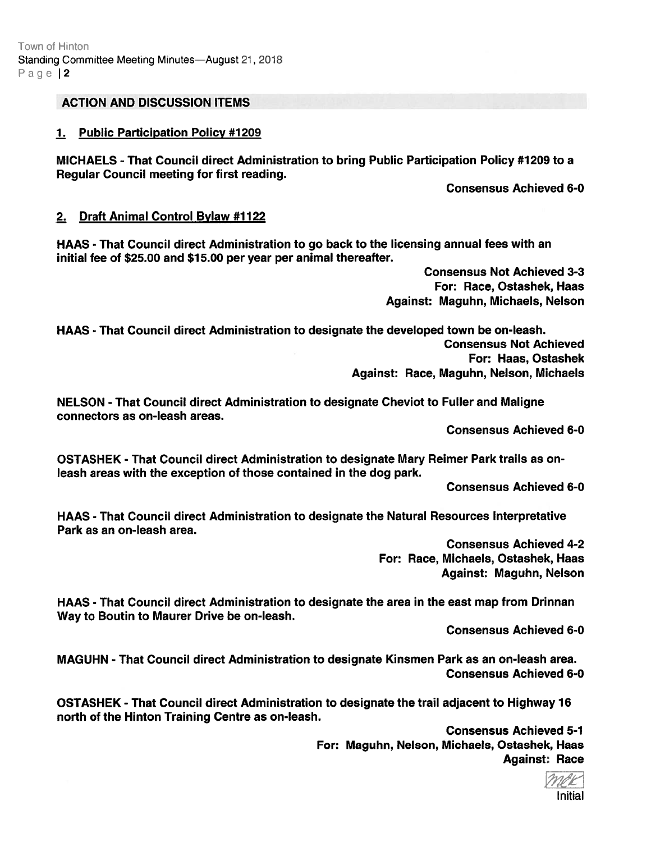# ACTION AND DISCUSSION ITEMS

#### 1. Public Participation Policy #1209

MICHAELS -That Council direct Administration to bring Public Participation Policy #7209 to <sup>a</sup> Regular Council meeting for first reading.

Consensus Achieved 6-0

#### 2. Draft Animal Control Bylaw #1122

HAAS - That Council direct Administration to go back to the licensing annual fees with an initial fee of \$25.00 and \$15.00 per year per animal thereafter.

> Consensus Not Achieved 3-3 For: Race, Ostashek, Haas Against: Maguhn, Michaels, Nelson

HAAS - That Council direct Administration to designate the developed town be on-leash. Consensus Not Achieved For: Haas, Ostashek Against: Race, Maguhn, Nelson, Michaels

NELSON -That Council direct Administration to designate Cheviot to Fuller and Maligne connectors as on-leash areas.

Consensus Achieved 6-0

OSTASHEK - That Council direct Administration to designate Mary Reimer Park trails as onleash areas with the exception of those contained in the dog park.

Consensus Achieved 6-0

HAAS - That Council direct Administration to designate the Natural Resources Interpretative Park as an on-leash area.

> Consensus Achieved 4-2 For: Race, Michaels, Ostashek, Haas Against: Maguhn, Nelson

HAAS - That Council direct Administration to designate the area in the east map from Drinnan Way to Boutin to Maurer Drive be on-leash.

Consensus Achieved 6-0

MAGUHN - That Council direct Administration to designate Kinsmen Park as an on-leash area. Consensus Achieved 6-0

OSTASHEK - That Council direct Administration to designate the trail adjacent to Highway 16 north of the Hinton Training Centre as on-leash.

Consensus Achieved 5-1 For: Maguhn, Nelson, Michaels, Ostashek, Haas Against: Race

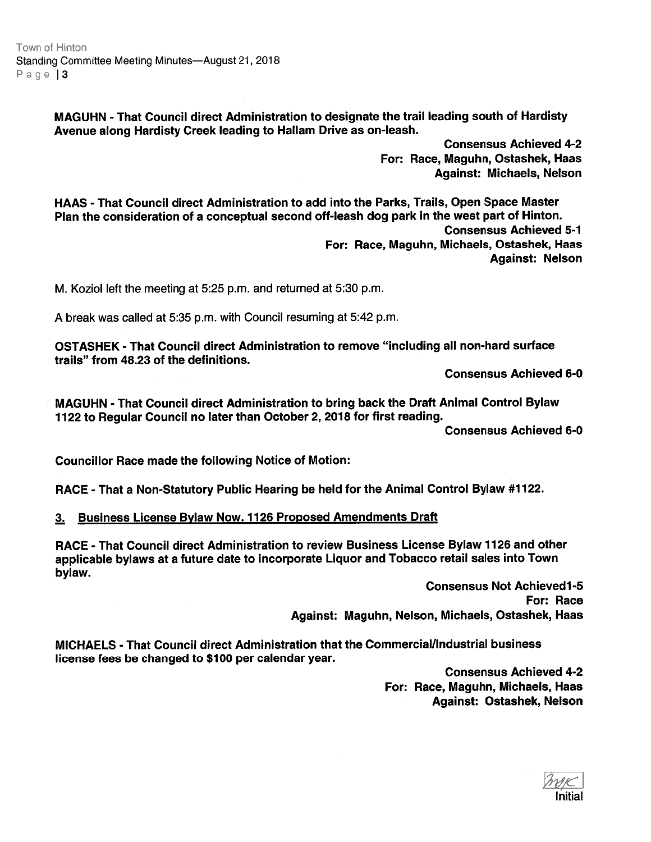Town of Hinton Standing Committee Meeting Minutes—August 21, 2018 Page | 3

> MAGUHN -That Council direct Administration to designate the trail leading south of Hardisty Avenue along Hardisty Creek leading to Hallam Drive as on-leash.

> > Consensus Achieved 4-2 For: Race, Maguhn, Ostashek, Haas Against: Michaels, Nelson

HAAS - That Council direct Administration to add into the Parks, Trails, Open Space Master Plan the consideration of <sup>a</sup> conceptual second off-leash dog par<sup>k</sup> in the west par<sup>t</sup> of Hinton. Consensus Achieved 5-1 For: Race, Maguhn, Michaels, Ostashek, Haas Against: Nelson

M. Koziol left the meeting at 5:25 p.m. and returned at 5:30 p.m.

A break was called at 5:35 p.m. with Council resuming at 5:42 p.m.

OSTASHEK - That Council direct Administration to remove "including all non-hard surface trails" from 48.23 of the definitions.

Consensus Achieved 6-0

MAGUHN - That Council direct Administration to bring back the Draft Animal Control Bylaw <sup>1122</sup> to Regular Council no later than October 2, 2018 for first reading.

Consensus Achieved 6-0

Councillor Race made the following Notice of Motion:

RACE -That <sup>a</sup> Non-Statutory Public Hearing be held for the Animal Control Bylaw #1 122.

3. Business License Bylaw Now. 1126 Proposed Amendments Draft

RACE - That Council direct Administration to review Business License Bylaw 1126 and other applicable bylaws at <sup>a</sup> future date to incorporate Liquor and Tobacco retail sales into Town bylaw.

> Consensus Not Achievedl-5 For: Race Against: Maguhn, Nelson, Michaels, Ostashek, Haas

MICHAELS - That Council direct Administration that the Commercial/Industrial business license fees be changed to \$100 per calendar year.

> Consensus Achieved 4-2 For: Race, Maguhn, Michaels, Haas Against: Ostashek, Nelson

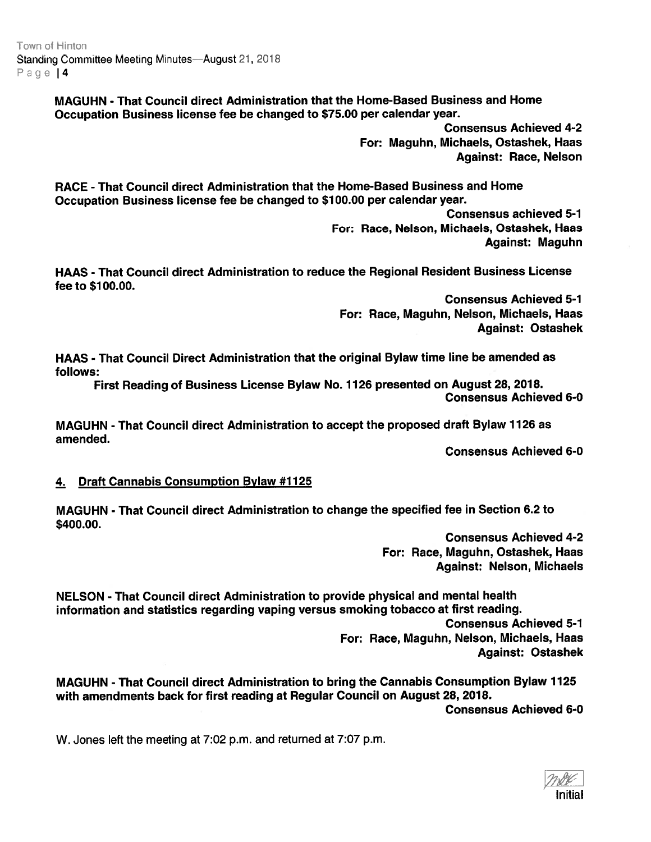Town of Hinton Standing Committee Meeting Minutes—August 21, 2018 Page | 4

> MAGUHN -That Council direct Administration that the Home-Based Business and Home Occupation Business license fee be changed to \$75.00 per calendar year.

> > Consensus Achieved 4-2 For: Maguhn, Michaels, Ostashek, Haas Against: Race, Nelson

RACE - That Council direct Administration that the Home-Based Business and Home Occupation Business license fee be changed to \$100.00 per calendar year.

> Consensus achieved 5-1 For: Race, Nelson, Michaels, Ostashek, Haas Against: Maguhn

HAAS - That Council direct Administration to reduce the Regional Resident Business License fee to \$100.00.

Consensus Achieved 5-1 For: Race, Maguhn, Nelson, Michaels, Haas Against: Ostashek

HAAS - That Council Direct Administration that the original Bylaw time line be amended as follows:

First Reading of Business License Bylaw No. 1126 presented on August 28, 2018. Consensus Achieved 6-0

MAGUHN -That Council direct Administration to accep<sup>t</sup> the proposed draft Bylaw 1126 as amended.

Consensus Achieved 6-0

# 4. Draft Cannabis Consumption Bylaw #1125

MAGUHN - That Council direct Administration to change the specified fee in Section 6.2 to \$400.00.

> Consensus Achieved 4-2 For: Race, Maguhn, Ostashek, Haas Against: Nelson, Michaels

NELSON - That Council direct Administration to provide physical and mental health information and statistics regarding vaping versus smoking tobacco at first reading. Consensus Achieved 5-1 For: Race, Maguhn, Nelson, Michaels, Haas Against: Ostashek

MAGUHN - That Council direct Administration to bring the Cannabis Consumption Bylaw 7725 with amendments back for first reading at Regular Council on August 28, 2078.

Consensus Achieved 6-0

W. Jones left the meeting at 7:02 p.m. and returned at 7:07 p.m.

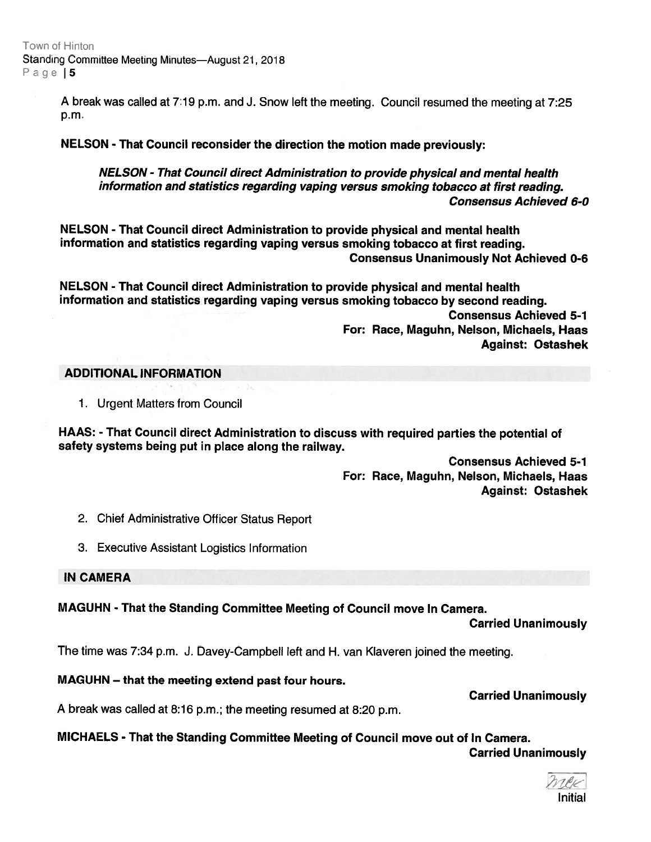Town of Hinton Standing Committee Meeting Minutes—August 21, 2018 Page | 5

> <sup>A</sup> break was called at 7:19 p.m. and J. Snow left the meeting. Council resumed the meeting at 7:25 p.m.

NELSON - That Council reconsider the direction the motion made previously:

NELSON - That Council direct Administration to provide physical and mental health information and statistics regarding vaping versus smoking tobacco at first reading. Consensus Achieved 6-0

NELSON -That Council direct Administration to provide physical and mental health information and statistics regarding vaping versus smoking tobacco at first reading. Consensus Unanimously Not Achieved 0-6

NELSON - That Council direct Administration to provide physical and mental health information and statistics regarding vaping versus smoking tobacco by second reading. Consensus Achieved 5-1 For: Race, Maguhn, Nelson, Michaels, Haas Against: Ostashek

#### ADDITIONAL INFORMATION

1. Urgent Matters from Council

HAAS: - That Council direct Administration to discuss with required parties the potential of safety systems being pu<sup>t</sup> in <sup>p</sup>lace along the railway.

> Consensus Achieved 5-1 For: Race, Maguhn, Nelson, Michaels, Haas Against: Ostashek

- 2. Chief Administrative Officer Status Report
- 3. Executive Assistant Logistics Information

#### IN CAMERA

# MAGUHN - That the Standing Committee Meeting of Council move In Camera.

Carried Unanimously

The time was 7:34 p.m. J. Davey-Campbell left and H. van Klaveren joined the meeting.

# MAGUHN — that the meeting extend pas<sup>t</sup> four hours.

Carried Unanimously

<sup>A</sup> break was called at 8:16 p.m.; the meeting resumed at 8:20 p.m.

# MICHAELS - That the Standing Committee Meeting of Council move out of In Camera.

Carried Unanimously